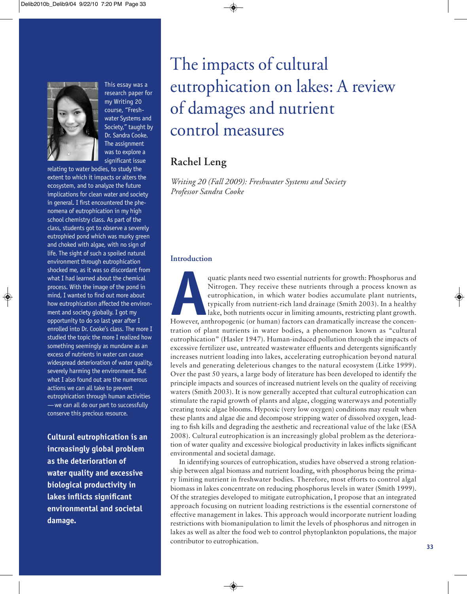

This essay was a research paper for my Writing 20 course, "Fresh water Systems and Society," taught by Dr. Sandra Cooke. The assignment was to explore a significant issue

relating to water bodies, to study the extent to which it impacts or alters the ecosystem, and to analyze the future implications for clean water and society in general. I first encountered the phenomena of eutrophication in my high school chemistry class. As part of the class, students got to observe a severely eutrophied pond which was murky green and choked with algae, with no sign of life. The sight of such a spoiled natural environment through eutrophication shocked me, as it was so discordant from what I had learned about the chemical process. With the image of the pond in mind, I wanted to find out more about how eutrophication affected the environment and society globally. I got my opportunity to do so last year after I enrolled into Dr. Cooke's class. The more I studied the topic the more I realized how something seemingly as mundane as an excess of nutrients in water can cause widespread deterioration of water quality, severely harming the environment. But what I also found out are the numerous actions we can all take to prevent eutrophication through human activities —we can all do our part to successfully conserve this precious resource.

**Cultural eutrophication is an increasingly global problem as the deterioration of water quality and excessive biological productivity in lakes inflicts significant environmental and societal damage.**

# The impacts of cultural eutrophication on lakes: A review of damages and nutrient control measures

## **Rachel Leng**

*Writing 20 (Fall 2009): Freshwater Systems and Society Professor Sandra Cooke*

#### **Introduction**

quatic plants need two essential nutrients for growth: Phosphorus and<br>
Nitrogen. They receive these nutrients through a process known as<br>
eutrophication, in which water bodies accumulate plant nutrients,<br>
typically from nu Nitrogen. They receive these nutrients through a process known as eutrophication, in which water bodies accumulate plant nutrients, typically from nutrient-rich land drainage (Smith 2003). In a healthy lake, both nutrients occur in limiting amounts, restricting plant growth. tration of plant nutrients in water bodies, a phenomenon known as "cultural eutrophication" (Hasler 1947). Human-induced pollution through the impacts of excessive fertilizer use, untreated wastewater effluents and detergents significantly increases nutrient loading into lakes, accelerating eutrophication beyond natural levels and generating deleterious changes to the natural ecosystem (Litke 1999). Over the past 50 years, a large body of literature has been developed to identify the principle impacts and sources of increased nutrient levels on the quality of receiving waters (Smith 2003). It is now generally accepted that cultural eutrophication can stimulate the rapid growth of plants and algae, clogging waterways and potentially creating toxic algae blooms. Hypoxic (very low oxygen) conditions may result when these plants and algae die and decompose stripping water of dissolved oxygen, leading to fish kills and degrading the aesthetic and recreational value of the lake (ESA 2008). Cultural eutrophication is an increasingly global problem as the deterioration of water quality and excessive biological productivity in lakes inflicts significant environmental and societal damage.

In identifying sources of eutrophication, studies have observed a strong relationship between algal biomass and nutrient loading, with phosphorus being the primary limiting nutrient in freshwater bodies. Therefore, most efforts to control algal biomass in lakes concentrate on reducing phosphorus levels in water (Smith 1999). Of the strategies developed to mitigate eutrophication, I propose that an integrated approach focusing on nutrient loading restrictions is the essential cornerstone of effective management in lakes. This approach would incorporate nutrient loading restrictions with biomanipulation to limit the levels of phosphorus and nitrogen in lakes as well as alter the food web to control phytoplankton populations, the major contributor to eutrophication. **<sup>33</sup>**

◈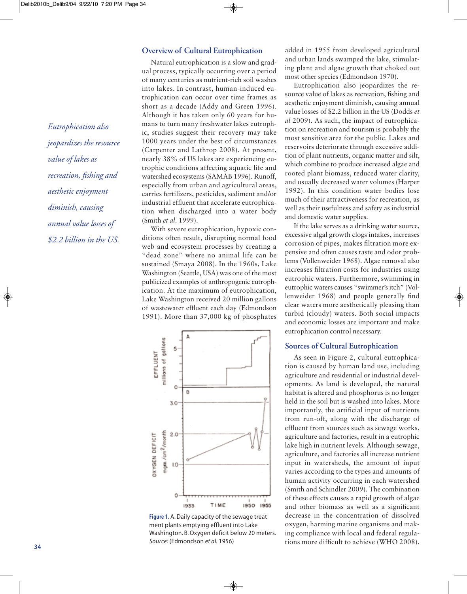# *Eutrophication also jeopardizes the resource value of lakes as recreation, fishing and aesthetic enjoyment diminish, causing annual value losses of \$2.2 billion in the US.*

#### **Overview of Cultural Eutrophication**

Natural eutrophication is a slow and gradual process, typically occurring over a period of many centuries as nutrient-rich soil washes into lakes. In contrast, human-induced eu trophication can occur over time frames as short as a decade (Addy and Green 1996). Although it has taken only 60 years for humans to turn many freshwater lakes eutrophic, studies suggest their recovery may take 1000 years under the best of circumstances (Carpenter and Lathrop 2008). At present, nearly 38% of US lakes are experiencing eu trophic conditions affecting aquatic life and watershed ecosystems (SAMAB 1996). Runoff, especially from urban and agricultural areas, carries fertilizers, pesticides, sediment and/or industrial effluent that accelerate eutrophication when discharged into a water body (Smith *et al*. 1999).

With severe eutrophication, hypoxic conditions often result, disrupting normal food web and ecosystem processes by creating a "dead zone" where no animal life can be sustained (Smaya 2008). In the 1960s, Lake Washington (Seattle, USA) was one of the most publicized examples of anthropogenic eutrophication. At the maximum of eutrophication, Lake Washington received 20 million gallons of wastewater effluent each day (Edmondson 1991). More than 37,000 kg of phosphates



Figure 1.A. Daily capacity of the sewage treatment plants emptying effluent into Lake Washington. B. Oxygen deficit below 20 meters. *Source:* (Edmondson *et al.* 1956)

◈

added in 1955 from developed agricultural and urban lands swamped the lake, stimulating plant and algae growth that choked out most other species (Edmondson 1970).

Eutrophication also jeopardizes the resource value of lakes as recreation, fishing and aesthetic enjoyment diminish, causing annual value losses of \$2.2 billion in the US (Dodds *et al* 2009). As such, the impact of eutrophication on recreation and tourism is probably the most sensitive area for the public. Lakes and reservoirs deteriorate through excessive addition of plant nutrients, organic matter and silt, which combine to produce increased algae and rooted plant biomass, reduced water clarity, and usually decreased water volumes (Harper 1992). In this condition water bodies lose much of their attractiveness for recreation, as well as their usefulness and safety as industrial and domestic water supplies.

If the lake serves as a drinking water source, excessive algal growth clogs intakes, increases corrosion of pipes, makes filtration more expensive and often causes taste and odor problems (Vollenweider 1968). Algae removal also increases filtration costs for industries using eutrophic waters. Furthermore, swimming in eutrophic waters causes "swimmer's itch" (Vollenweider 1968) and people generally find clear waters more aesthetically pleasing than turbid (cloudy) waters. Both social impacts and economic losses are important and make eutrophication control necessary.

#### **Sources of Cultural Eutrophication**

As seen in Figure 2, cultural eutrophication is caused by human land use, including agriculture and residential or industrial developments. As land is developed, the natural habitat is altered and phosphorus is no longer held in the soil but is washed into lakes. More importantly, the artificial input of nutrients from run-off, along with the discharge of effluent from sources such as sewage works, agriculture and factories, result in a eutrophic lake high in nutrient levels. Although sewage, agriculture, and factories all increase nutrient input in watersheds, the amount of input varies according to the types and amounts of human activity occurring in each watershed (Smith and Schindler 2009). The combination of these effects causes a rapid growth of algae and other biomass as well as a significant decrease in the concentration of dissolved oxygen, harming marine organisms and making compliance with local and federal regulations more difficult to achieve (WHO 2008). **<sup>34</sup>**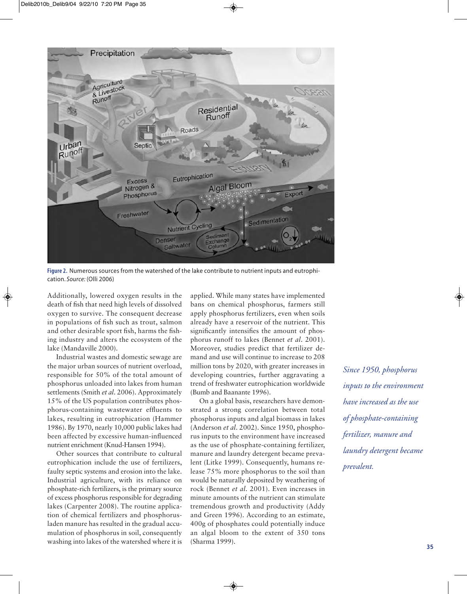

Figure 2. Numerous sources from the watershed of the lake contribute to nutrient inputs and eutrophication. *Source:* (Olli 2006)

Additionally, lowered oxygen results in the death of fish that need high levels of dissolved oxygen to survive. The consequent decrease in populations of fish such as trout, salmon and other desirable sport fish, harms the fishing industry and alters the ecosystem of the lake (Mandaville 2000).

Industrial wastes and domestic sewage are the major urban sources of nutrient overload, responsible for 50% of the total amount of phosphorus unloaded into lakes from human settlements (Smith *et al.* 2006). Approximately 15% of the US population contributes phosphorus-containing wastewater effluents to lakes, resulting in eutrophication (Hammer 1986). By 1970, nearly 10,000 public lakes had been affected by excessive human-influenced nutrient enrichment (Knud-Hansen 1994).

Other sources that contribute to cultural eutrophication include the use of fertilizers, faulty septic systems and erosion into the lake. Industrial agriculture, with its reliance on phosphate-rich fertilizers, is the primary source of excess phosphorus responsible for degrading lakes (Carpenter 2008). The routine application of chemical fertilizers and phosphorusladen manure has resulted in the gradual accumulation of phosphorus in soil, consequently washing into lakes of the watershed where it is applied. While many states have implemented bans on chemical phosphorus, farmers still apply phosphorus fertilizers, even when soils already have a reservoir of the nutrient. This significantly intensifies the amount of phosphorus runoff to lakes (Bennet *et al.* 2001). Moreover, studies predict that fertilizer demand and use will continue to increase to 208 million tons by 2020, with greater increases in developing countries, further aggravating a trend of freshwater eutrophication worldwide (Bumb and Baanante 1996).

On a global basis, researchers have demonstrated a strong correlation between total phosphorus inputs and algal biomass in lakes (Anderson *et al*. 2002). Since 1950, phosphorus inputs to the environment have increased as the use of phosphate-containing fertilizer, manure and laundry detergent became prevalent (Litke 1999). Consequently, humans release 75% more phosphorus to the soil than would be naturally deposited by weathering of rock (Bennet *et al*. 2001). Even increases in minute amounts of the nutrient can stimulate tremendous growth and productivity (Addy and Green 1996). According to an estimate, 400g of phosphates could potentially induce an algal bloom to the extent of 350 tons (Sharma 1999). **<sup>35</sup>**

*Since 1950, phosphorus inputs to the environment have increased as the use of phosphate-containing fertilizer, manure and laundry detergent became prevalent.*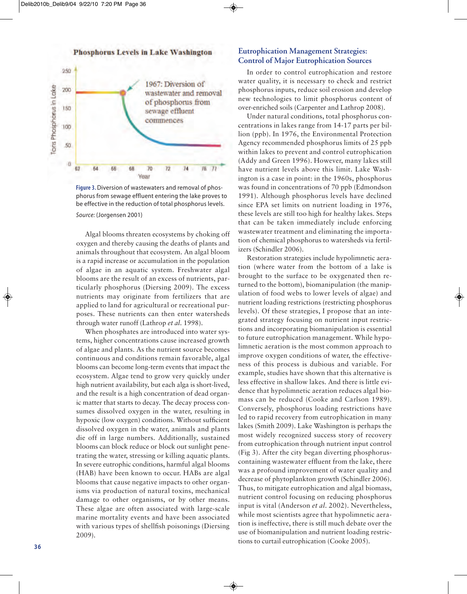

Figure 3.Diversion of wastewaters and removal of phosphorus from sewage effluent entering the lake proves to be effective in the reduction of total phosphorus levels. *Source:* (Jorgensen 2001)

Algal blooms threaten ecosystems by choking off oxygen and thereby causing the deaths of plants and animals throughout that ecosystem. An algal bloom is a rapid increase or accumulation in the population of algae in an aquatic system. Freshwater algal blooms are the result of an excess of nutrients, particularly phosphorus (Diersing 2009). The excess nutrients may originate from fertilizers that are applied to land for agricultural or recreational purposes. These nutrients can then enter watersheds through water runoff (Lathrop *et al*. 1998).

When phosphates are introduced into water systems, higher concentrations cause increased growth of algae and plants. As the nutrient source becomes continuous and conditions remain favorable, algal blooms can become long-term events that impact the ecosystem. Algae tend to grow very quickly under high nutrient availability, but each alga is short-lived, and the result is a high concentration of dead organic matter that starts to decay. The decay process consumes dissolved oxygen in the water, resulting in hypoxic (low oxygen) conditions. Without sufficient dissolved oxygen in the water, animals and plants die off in large numbers. Additionally, sustained blooms can block reduce or block out sunlight penetrating the water, stressing or killing aquatic plants. In severe eutrophic conditions, harmful algal blooms (HAB) have been known to occur. HABs are algal blooms that cause negative impacts to other organisms via production of natural toxins, mechanical damage to other organisms, or by other means. These algae are often associated with large-scale marine mortality events and have been associated with various types of shellfish poisonings (Diersing 2009).

◈

#### **Eutrophication Management Strategies: Control of Major Eutrophication Sources**

In order to control eutrophication and restore water quality, it is necessary to check and restrict phosphorus inputs, reduce soil erosion and develop new technologies to limit phosphorus content of over-enriched soils (Carpenter and Lathrop 2008).

Under natural conditions, total phosphorus concentrations in lakes range from 14-17 parts per billion (ppb). In 1976, the Environmental Protection Agency recommended phosphorus limits of 25 ppb within lakes to prevent and control eutrophication (Addy and Green 1996). However, many lakes still have nutrient levels above this limit. Lake Washington is a case in point: in the 1960s, phosphorus was found in concentrations of 70 ppb (Edmondson 1991). Although phosphorus levels have declined since EPA set limits on nutrient loading in 1976, these levels are still too high for healthy lakes. Steps that can be taken immediately include enforcing wastewater treatment and eliminating the importation of chemical phosphorus to watersheds via fertilizers (Schindler 2006).

Restoration strategies include hypolimnetic aeration (where water from the bottom of a lake is brought to the surface to be oxygenated then returned to the bottom), biomanipulation (the manipulation of food webs to lower levels of algae) and nutrient loading restrictions (restricting phosphorus levels). Of these strategies, I propose that an integrated strategy focusing on nutrient input restrictions and incorporating biomanipulation is essential to future eutrophication management. While hypolimnetic aeration is the most common approach to improve oxygen conditions of water, the effectiveness of this process is dubious and variable. For example, studies have shown that this alternative is less effective in shallow lakes. And there is little evidence that hypolimnetic aeration reduces algal biomass can be reduced (Cooke and Carlson 1989). Conversely, phosphorus loading restrictions have led to rapid recovery from eutrophication in many lakes (Smith 2009). Lake Washington is perhaps the most widely recognized success story of recovery from eutrophication through nutrient input control (Fig 3). After the city began diverting phosphoruscontaining wastewater effluent from the lake, there was a profound improvement of water quality and decrease of phytoplankton growth (Schindler 2006). Thus, to mitigate eutrophication and algal biomass, nutrient control focusing on reducing phosphorus input is vital (Anderson *et al*. 2002). Nevertheless, while most scientists agree that hypolimnetic aeration is ineffective, there is still much debate over the use of biomanipulation and nutrient loading restrictions to curtail eutrophication (Cooke 2005). **<sup>36</sup>**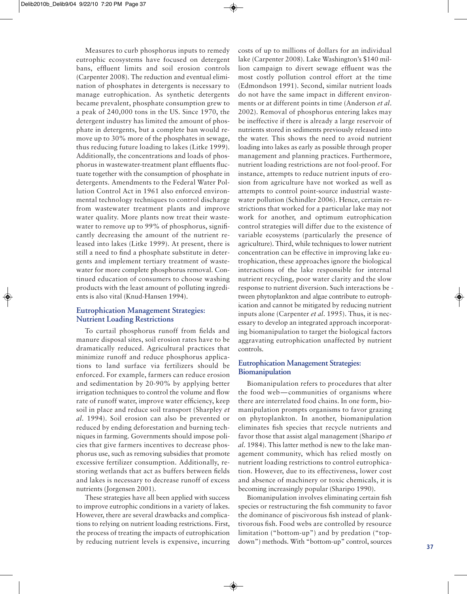Measures to curb phosphorus inputs to remedy eutrophic ecosystems have focused on detergent bans, effluent limits and soil erosion controls (Carpenter 2008). The reduction and eventual elimination of phosphates in detergents is necessary to manage eutrophication. As synthetic detergents became prevalent, phosphate consumption grew to a peak of 240,000 tons in the US. Since 1970, the detergent industry has limited the amount of phosphate in detergents, but a complete ban would remove up to 30% more of the phosphates in sewage, thus reducing future loading to lakes (Litke 1999). Additionally, the concentrations and loads of phosphorus in wastewater-treatment plant effluents fluctuate together with the consumption of phosphate in detergents. Amendments to the Federal Water Pollution Control Act in 1961 also enforced environmental technology techniques to control discharge from wastewater treatment plants and improve water quality. More plants now treat their wastewater to remove up to 99% of phosphorus, significantly decreasing the amount of the nutrient released into lakes (Litke 1999). At present, there is still a need to find a phosphate substitute in detergents and implement tertiary treatment of wastewater for more complete phosphorus removal. Continued education of consumers to choose washing products with the least amount of polluting ingredients is also vital (Knud-Hansen 1994).

#### **Eutrophication Management Strategies: Nutrient Loading Restrictions**

To curtail phosphorus runoff from fields and manure disposal sites, soil erosion rates have to be dramatically reduced. Agricultural practices that minimize runoff and reduce phosphorus applications to land surface via fertilizers should be enforced. For example, farmers can reduce erosion and sedimentation by 20-90% by applying better irrigation techniques to control the volume and flow rate of runoff water, improve water efficiency, keep soil in place and reduce soil transport (Sharpley *et al*. 1994). Soil erosion can also be prevented or reduced by ending deforestation and burning techniques in farming. Governments should impose policies that give farmers incentives to decrease phosphorus use, such as removing subsidies that promote excessive fertilizer consumption. Additionally, restoring wetlands that act as buffers between fields and lakes is necessary to decrease runoff of excess nutrients (Jorgensen 2001).

These strategies have all been applied with success to improve eutrophic conditions in a variety of lakes. However, there are several drawbacks and complications to relying on nutrient loading restrictions. First, the process of treating the impacts of eutrophication by reducing nutrient levels is expensive, incurring costs of up to millions of dollars for an individual lake (Carpenter 2008). Lake Washington's \$140 million campaign to divert sewage effluent was the most costly pollution control effort at the time (Edmondson 1991). Second, similar nutrient loads do not have the same impact in different environments or at different points in time (Anderson *et al*. 2002). Removal of phosphorus entering lakes may be ineffective if there is already a large reservoir of nutrients stored in sediments previously released into the water. This shows the need to avoid nutrient loading into lakes as early as possible through proper management and planning practices. Furthermore, nutrient loading restrictions are not fool-proof. For instance, attempts to reduce nutrient inputs of erosion from agriculture have not worked as well as attempts to control point-source industrial wastewater pollution (Schindler 2006). Hence, certain restrictions that worked for a particular lake may not work for another, and optimum eutrophication control strategies will differ due to the existence of variable ecosystems (particularly the presence of agriculture). Third, while techniques to lower nutrient concentration can be effective in improving lake eu trophication, these approaches ignore the biological interactions of the lake responsible for internal nutrient recycling, poor water clarity and the slow response to nutrient diversion. Such interactions be tween phytoplankton and algae contribute to eutrophication and cannot be mitigated by reducing nutrient inputs alone (Carpenter *et al*. 1995). Thus, it is necessary to develop an integrated approach incorporating biomanipulation to target the biological factors aggravating eutrophication unaffected by nutrient controls.

#### **Eutrophication Management Strategies: Biomanipulation**

Biomanipulation refers to procedures that alter the food web—communities of organisms where there are interrelated food chains. In one form, biomanipulation prompts organisms to favor grazing on phytoplankton. In another, biomanipulation eliminates fish species that recycle nutrients and favor those that assist algal management (Sharipo *et al*. 1984). This latter method is new to the lake management community, which has relied mostly on nutrient loading restrictions to control eutrophication. However, due to its effectiveness, lower cost and absence of machinery or toxic chemicals, it is becoming increasingly popular (Sharipo 1990).

Biomanipulation involves eliminating certain fish species or restructuring the fish community to favor the dominance of piscivorous fish instead of planktivorous fish. Food webs are controlled by resource limitation ("bottom-up") and by predation ("topdown") methods. With "bottom-up" control, sources **<sup>37</sup>**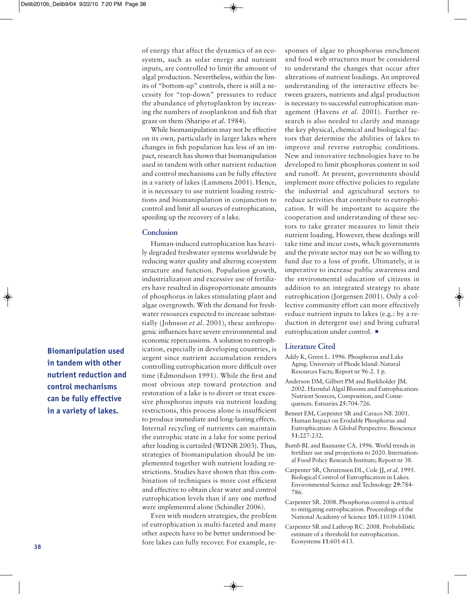of energy that affect the dynamics of an eco system, such as solar energy and nutrient inputs, are controlled to limit the amount of algal production. Nevertheless, within the limits of "bottom-up" controls, there is still a necessity for "top-down" pressures to reduce the abundance of phytoplankton by increasing the numbers of zooplankton and fish that graze on them (Sharipo *et al*. 1984).

While biomanipulation may not be effective on its own, particularly in larger lakes where changes in fish population has less of an impact, research has shown that biomanipulation used in tandem with other nutrient reduction and control mechanisms can be fully effective in a variety of lakes (Lammens 2001). Hence, it is necessary to use nutrient loading restrictions and biomanipulation in conjunction to control and limit all sources of eutrophication, speeding up the recovery of a lake.

#### **Conclusion**

Human-induced eutrophication has heavily degraded freshwater systems worldwide by reducing water quality and altering ecosystem structure and function. Population growth, industrialization and excessive use of fertilizers have resulted in disproportionate amounts of phosphorus in lakes stimulating plant and algae overgrowth. With the demand for freshwater resources expected to increase substantially (Johnson *et al.* 2001), these anthropogenic influences have severe environmental and economic repercussions. A solution to eutrophication, especially in developing countries, is urgent since nutrient accumulation renders controlling eutrophication more difficult over time (Edmondson 1991). While the first and most obvious step toward protection and restoration of a lake is to divert or treat excessive phosphorus inputs via nutrient loading restrictions, this process alone is insufficient to produce immediate and long-lasting effects. Internal recycling of nutrients can maintain the eutrophic state in a lake for some period after loading is curtailed (WDNR 2003). Thus, strategies of biomanipulation should be im plemented together with nutrient loading re strictions. Studies have shown that this combination of techniques is more cost efficient and effective to obtain clear water and control eutrophication levels than if any one method were implemented alone (Schindler 2006).

Even with modern strategies, the problem of eutrophication is multi-faceted and many other aspects have to be better understood be fore lakes can fully recover. For example, re-

◈

sponses of algae to phosphorus enrichment and food web structures must be considered to understand the changes that occur after alterations of nutrient loadings. An improved understanding of the interactive effects be tween grazers, nutrients and algal production is necessary to successful eutrophication management (Havens et al. 2001). Further research is also needed to clarify and manage the key physical, chemical and biological factors that determine the abilities of lakes to improve and reverse eutrophic conditions. New and innovative technologies have to be developed to limit phosphorus content in soil and runoff. At present, governments should implement more effective policies to regulate the industrial and agricultural sectors to reduce activities that contribute to eutrophication. It will be important to acquire the cooperation and understanding of these sectors to take greater measures to limit their nutrient loading. However, these dealings will take time and incur costs, which governments and the private sector may not be so willing to fund due to a loss of profit. Ultimately, it is imperative to increase public awareness and the environmental education of citizens in addition to an integrated strategy to abate eutrophication (Jorgensen 2001). Only a collective community effort can more effectively reduce nutrient inputs to lakes (e.g.: by a reduction in detergent use) and bring cultural eutrophication under control.

#### **Literature Cited**

- Addy K, Green L. 1996. Phosphorus and Lake Aging. University of Phode Island: Natural Resources Facts; Report nr 96-2. 1 p.
- Anderson DM, Gilbert PM and Burkholder JM. 2002. Harmful Algal Blooms and Eutrophication: Nutrient Sources, Composition, and Consequences. Estuaries **25**:704-726.
- Bennet EM, Carpenter SR and Caraco NF. 2001. Human Impact on Erodable Phosphorus and Eutrophication: A Global Perspective. Bioscience **51**:227-232.
- Bumb BL and Baanante CA. 1996. World trends in fertilizer use and projections to 2020. International Food Policy Research Institute; Report nr 38.
- Carpenter SR, Christensen DL, Cole JJ, *et al*. 1995. Biological Control of Eutrophication in Lakes. Environmental Science and Technology **29**:784- 786.
- Carpenter SR. 2008. Phosphorus control is critical to mitigating eutrophication. Proceedings of the National Academy of Science **105**:11039-11040.
- Carpenter SR and Lathrop RC. 2008. Probabilistic estimate of a threshold for eutrophication. Ecosystems **11**:601-613.

**Biomanipulation used in tandem with other nutrient reduction and control mechanisms can be fully effective in a variety of lakes.**